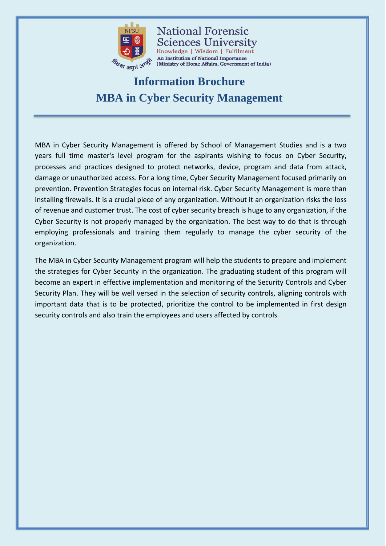

**National Forensic Sciences University** Knowledge | Wisdom | Fulfilment An Institution of National Importance (Ministry of Home Affairs, Government of India)

# **Information Brochure MBA in Cyber Security Management**

MBA in Cyber Security Management is offered by School of Management Studies and is a two years full time master's level program for the aspirants wishing to focus on Cyber Security, processes and practices designed to protect networks, device, program and data from attack, damage or unauthorized access. For a long time, Cyber Security Management focused primarily on prevention. Prevention Strategies focus on internal risk. Cyber Security Management is more than installing firewalls. It is a crucial piece of any organization. Without it an organization risks the loss of revenue and customer trust. The cost of cyber security breach is huge to any organization, if the Cyber Security is not properly managed by the organization. The best way to do that is through employing professionals and training them regularly to manage the cyber security of the organization.

The MBA in Cyber Security Management program will help the students to prepare and implement the strategies for Cyber Security in the organization. The graduating student of this program will become an expert in effective implementation and monitoring of the Security Controls and Cyber Security Plan. They will be well versed in the selection of security controls, aligning controls with important data that is to be protected, prioritize the control to be implemented in first design security controls and also train the employees and users affected by controls.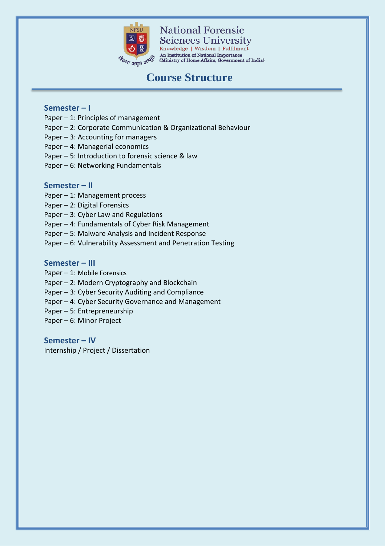

**National Forensic Sciences University** Knowledge | Wisdom | Fulfilment

An Institution of National Importance<br>(Ministry of Home Affairs, Government of India)

# **Course Structure**

### **Semester – I**

- Paper 1: Principles of management
- Paper 2: Corporate Communication & Organizational Behaviour
- Paper 3: Accounting for managers
- Paper 4: Managerial economics
- Paper 5: Introduction to forensic science & law
- Paper 6: Networking Fundamentals

### **Semester – II**

- Paper 1: Management process
- Paper 2: Digital Forensics
- Paper 3: Cyber Law and Regulations
- Paper 4: Fundamentals of Cyber Risk Management
- Paper 5: Malware Analysis and Incident Response
- Paper 6: Vulnerability Assessment and Penetration Testing

#### **Semester – III**

- Paper 1: Mobile Forensics
- Paper 2: Modern Cryptography and Blockchain
- Paper 3: Cyber Security Auditing and Compliance
- Paper 4: Cyber Security Governance and Management
- Paper 5: Entrepreneurship
- Paper 6: Minor Project

### **Semester – IV**

Internship / Project / Dissertation